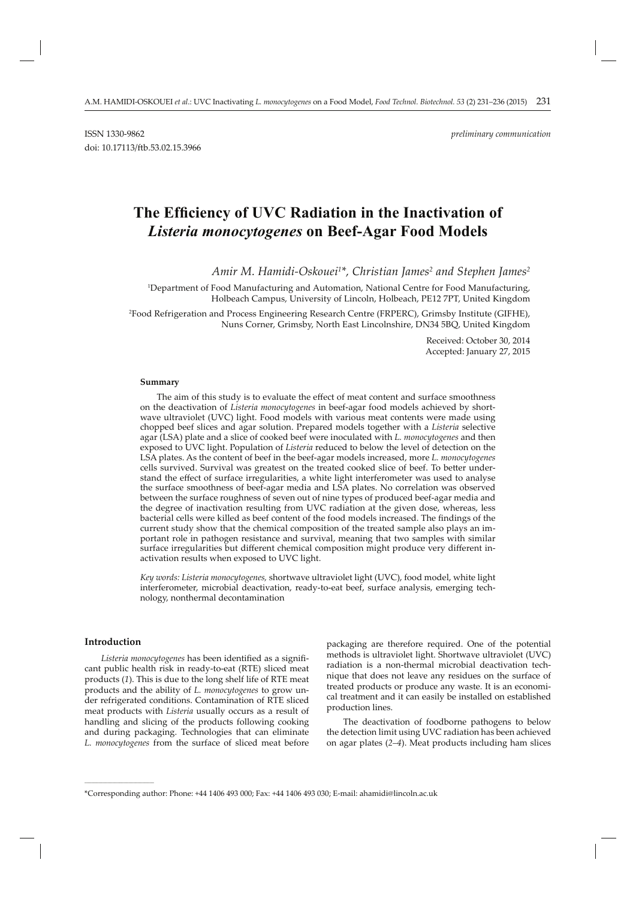# The Efficiency of UVC Radiation in the Inactivation of *Listeria monocytogenes* **on Beef-Agar Food Models**

*Amir M. Hamidi-Oskouei1 \*, Christian James2 and Stephen James2*

1 Department of Food Manufacturing and Automation, National Centre for Food Manufacturing, Holbeach Campus, University of Lincoln, Holbeach, PE12 7PT, United Kingdom

2 Food Refrigeration and Process Engineering Research Centre (FRPERC), Grimsby Institute (GIFHE), Nuns Corner, Grimsby, North East Lincolnshire, DN34 5BQ, United Kingdom

> Received: October 30, 2014 Accepted: January 27, 2015

#### **Summary**

The aim of this study is to evaluate the effect of meat content and surface smoothness on the deactivation of *Listeria monocytogenes* in beef-agar food models achieved by shortwave ultraviolet (UVC) light. Food models with various meat contents were made using chopped beef slices and agar solution. Prepared models together with a *Listeria* selective agar (LSA) plate and a slice of cooked beef were inoculated with *L. monocytogenes* and then exposed to UVC light. Population of *Listeria* reduced to below the level of detection on the LSA plates. As the content of beef in the beef-agar models increased, more *L. monocytogenes* cells survived. Survival was greatest on the treated cooked slice of beef. To better understand the effect of surface irregularities, a white light interferometer was used to analyse the surface smoothness of beef-agar media and LSA plates. No correlation was observed between the surface roughness of seven out of nine types of produced beef-agar media and the degree of inactivation resulting from UVC radiation at the given dose, whereas, less bacterial cells were killed as beef content of the food models increased. The findings of the current study show that the chemical composition of the treated sample also plays an important role in pathogen resistance and survival, meaning that two samples with similar surface irregularities but different chemical composition might produce very different inactivation results when exposed to UVC light.

*Key words: Listeria monocytogenes,* shortwave ultraviolet light (UVC), food model, white light interferometer, microbial deactivation, ready-to-eat beef, surface analysis, emerging technology, nonthermal decontamination

#### **Introduction**

**\_\_\_\_\_\_\_\_\_\_\_\_\_\_\_\_\_\_\_\_\_\_\_\_\_\_\_\_\_\_**

Listeria monocytogenes has been identified as a significant public health risk in ready-to-eat (RTE) sliced meat products (*1*). This is due to the long shelf life of RTE meat products and the ability of *L. monocytogenes* to grow under refrigerated conditions. Contamination of RTE sliced meat products with *Listeria* usually occurs as a result of handling and slicing of the products following cooking and during packaging. Technologies that can eliminate *L. monocytogenes* from the surface of sliced meat before

packaging are therefore required. One of the potential methods is ultraviolet light. Shortwave ultraviolet (UVC) radiation is a non-thermal microbial deactivation technique that does not leave any residues on the surface of treated products or produce any waste. It is an economical treatment and it can easily be installed on established production lines.

The deactivation of foodborne pathogens to below the detection limit using UVC radiation has been achieved on agar plates (*2–4*). Meat products including ham slices

<sup>\*</sup>Corresponding author: Phone: +44 1406 493 000; Fax: +44 1406 493 030; E-mail: ahamidi@lincoln.ac.uk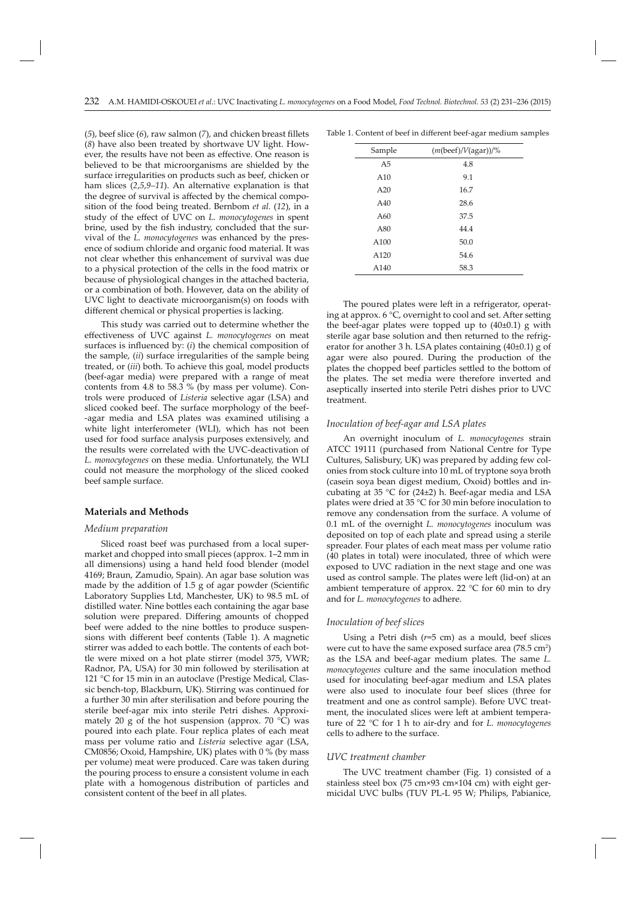$(5)$ , beef slice  $(6)$ , raw salmon  $(7)$ , and chicken breast fillets (*8*) have also been treated by shortwave UV light. However, the results have not been as effective. One reason is believed to be that microorganisms are shielded by the surface irregularities on products such as beef, chicken or ham slices (*2*,*5*,*9–11*). An alternative explanation is that the degree of survival is affected by the chemical composition of the food being treated. Bernbom *et al.* (*12*), in a study of the effect of UVC on *L. monocytogenes* in spent brine, used by the fish industry, concluded that the survival of the *L. monocytogenes* was enhanced by the presence of sodium chloride and organic food material. It was not clear whether this enhancement of survival was due to a physical protection of the cells in the food matrix or because of physiological changes in the attached bacteria, or a combination of both. However, data on the ability of UVC light to deactivate microorganism(s) on foods with different chemical or physical properties is lacking.

This study was carried out to determine whether the eff ectiveness of UVC against *L. monocytogenes* on meat surfaces is influenced by: (*i*) the chemical composition of the sample, (*ii*) surface irregularities of the sample being treated, or (*iii*) both. To achieve this goal, model products (beef-agar media) were prepared with a range of meat contents from 4.8 to 58.3 % (by mass per volume). Controls were produced of *Listeria* selective agar (LSA) and sliced cooked beef. The surface morphology of the beef- -agar media and LSA plates was examined utilising a white light interferometer (WLI), which has not been used for food surface analysis purposes extensively, and the results were correlated with the UVC-deactivation of *L. monocytogenes* on these media. Unfortunately, the WLI could not measure the morphology of the sliced cooked beef sample surface.

# **Materials and Methods**

#### *Medium preparation*

Sliced roast beef was purchased from a local supermarket and chopped into small pieces (approx. 1–2 mm in all dimensions) using a hand held food blender (model 4169; Braun, Zamudio, Spain). An agar base solution was made by the addition of  $1.5$  g of agar powder (Scientific Laboratory Supplies Ltd, Manchester, UK) to 98.5 mL of distilled water. Nine bottles each containing the agar base solution were prepared. Differing amounts of chopped beef were added to the nine bottles to produce suspensions with different beef contents (Table 1). A magnetic stirrer was added to each bottle. The contents of each bottle were mixed on a hot plate stirrer (model 375, VWR; Radnor, PA, USA) for 30 min followed by sterilisation at 121 °C for 15 min in an autoclave (Prestige Medical, Classic bench-top, Blackburn, UK). Stirring was continued for a further 30 min after sterilisation and before pouring the sterile beef-agar mix into sterile Petri dishes. Approximately 20 g of the hot suspension (approx.  $70^{\circ}$ C) was poured into each plate. Four replica plates of each meat mass per volume ratio and *Listeria* selective agar (LSA, CM0856; Oxoid, Hampshire, UK) plates with 0 % (by mass per volume) meat were produced. Care was taken during the pouring process to ensure a consistent volume in each plate with a homogenous distribution of particles and consistent content of the beef in all plates.

| Sample | $(m(beef)/V(agar))/\%$ |
|--------|------------------------|
| A5     | 4.8                    |
| A10    | 9.1                    |
| A20    | 16.7                   |
| A40    | 28.6                   |
| A60    | 37.5                   |
| A80    | 44.4                   |
| A100   | 50.0                   |
| A120   | 54.6                   |
| A140   | 58.3                   |

Table 1. Content of beef in different beef-agar medium samples

The poured plates were left in a refrigerator, operating at approx.  $6^{\circ}C$ , overnight to cool and set. After setting the beef-agar plates were topped up to (40±0.1) g with sterile agar base solution and then returned to the refrigerator for another 3 h. LSA plates containing (40±0.1) g of agar were also poured. During the production of the plates the chopped beef particles settled to the bottom of the plates. The set media were therefore inverted and aseptically inserted into sterile Petri dishes prior to UVC treatment.

# *Inoculation of beef-agar and LSA plates*

An overnight inoculum of *L. monocytogenes* strain ATCC 19111 (purchased from National Centre for Type Cultures, Salisbury, UK) was prepared by adding few colonies from stock culture into 10 mL of tryptone soya broth (casein soya bean digest medium, Oxoid) bottles and incubating at 35  $\degree$ C for (24 $\pm$ 2) h. Beef-agar media and LSA plates were dried at 35 °C for 30 min before inoculation to remove any condensation from the surface. A volume of 0.1 mL of the overnight *L. monocytogenes* inoculum was deposited on top of each plate and spread using a sterile spreader. Four plates of each meat mass per volume ratio (40 plates in total) were inoculated, three of which were exposed to UVC radiation in the next stage and one was used as control sample. The plates were left (lid-on) at an ambient temperature of approx. 22 °C for 60 min to dry and for *L. monocytogenes* to adhere.

# *Inoculation of beef slices*

Using a Petri dish (*r*=5 cm) as a mould, beef slices were cut to have the same exposed surface area (78.5  $\text{cm}^2$ ) as the LSA and beef-agar medium plates. The same *L. monocytogenes* culture and the same inoculation method used for inoculating beef-agar medium and LSA plates were also used to inoculate four beef slices (three for treatment and one as control sample). Before UVC treatment, the inoculated slices were left at ambient temperature of 22 °C for 1 h to air-dry and for *L. monocytogenes* cells to adhere to the surface.

#### *UVC treatment chamber*

The UVC treatment chamber (Fig. 1) consisted of a stainless steel box (75 cm×93 cm×104 cm) with eight germicidal UVC bulbs (TUV PL-L 95 W; Philips, Pabianice,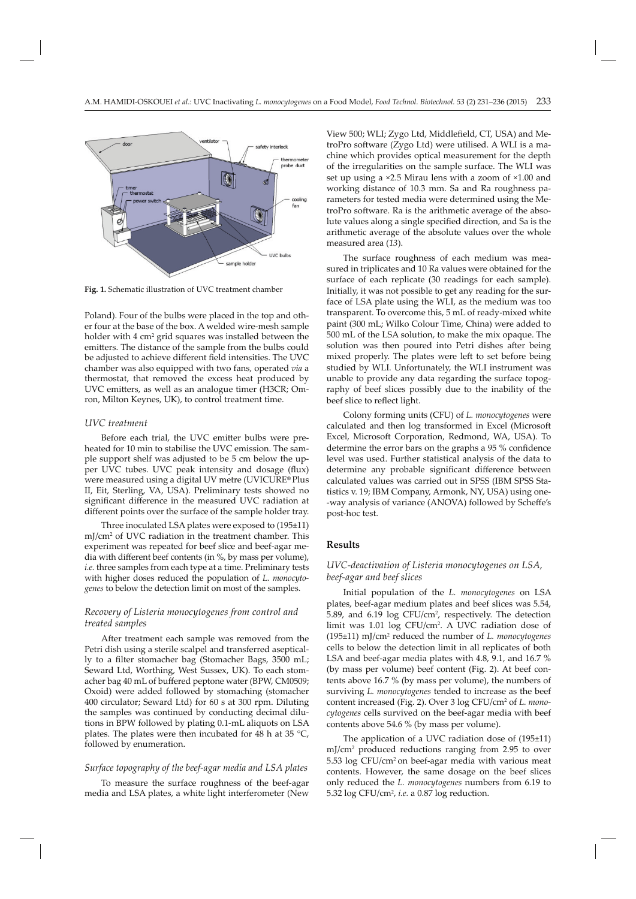

**Fig. 1.** Schematic illustration of UVC treatment chamber

Poland). Four of the bulbs were placed in the top and other four at the base of the box. A welded wire-mesh sample holder with 4 cm<sup>2</sup> grid squares was installed between the emitters. The distance of the sample from the bulbs could be adjusted to achieve different field intensities. The UVC chamber was also equipped with two fans, operated *via* a thermostat, that removed the excess heat produced by UVC emitters, as well as an analogue timer (H3CR; Omron, Milton Keynes, UK), to control treatment time.

# *UVC treatment*

Before each trial, the UVC emitter bulbs were preheated for 10 min to stabilise the UVC emission. The sample support shelf was adjusted to be 5 cm below the upper UVC tubes. UVC peak intensity and dosage (flux) were measured using a digital UV metre (UVICURE**®** Plus II, Eit, Sterling, VA, USA). Preliminary tests showed no significant difference in the measured UVC radiation at different points over the surface of the sample holder tray.

Three inoculated LSA plates were exposed to (195±11) mJ/cm2 of UVC radiation in the treatment chamber. This experiment was repeated for beef slice and beef-agar media with different beef contents (in %, by mass per volume), *i.e.* three samples from each type at a time. Preliminary tests with higher doses reduced the population of *L. monocytogenes* to below the detection limit on most of the samples.

# *Recovery of Listeria monocytogenes from control and treated samples*

After treatment each sample was removed from the Petri dish using a sterile scalpel and transferred aseptically to a filter stomacher bag (Stomacher Bags, 3500 mL; Seward Ltd, Worthing, West Sussex, UK). To each stomacher bag 40 mL of buffered peptone water (BPW, CM0509; Oxoid) were added followed by stomaching (stomacher 400 circulator; Seward Ltd) for 60 s at 300 rpm. Diluting the samples was continued by conducting decimal dilutions in BPW followed by plating 0.1-mL aliquots on LSA plates. The plates were then incubated for 48 h at 35  $^{\circ}C$ , followed by enumeration.

# *Surface topography of the beef-agar media and LSA plates*

To measure the surface roughness of the beef-agar media and LSA plates, a white light interferometer (New View 500; WLI; Zygo Ltd, Middlefield, CT, USA) and MetroPro software (Zygo Ltd) were utilised. A WLI is a machine which provides optical measurement for the depth of the irregularities on the sample surface. The WLI was set up using a ×2.5 Mirau lens with a zoom of ×1.00 and working distance of 10.3 mm. Sa and Ra roughness parameters for tested media were determined using the MetroPro software. Ra is the arithmetic average of the absolute values along a single specified direction, and Sa is the arithmetic average of the absolute values over the whole measured area (*13*).

The surface roughness of each medium was measured in triplicates and 10 Ra values were obtained for the surface of each replicate (30 readings for each sample). Initially, it was not possible to get any reading for the surface of LSA plate using the WLI, as the medium was too transparent. To overcome this, 5 mL of ready-mixed white paint (300 mL; Wilko Colour Time, China) were added to 500 mL of the LSA solution, to make the mix opaque. The solution was then poured into Petri dishes after being mixed properly. The plates were left to set before being studied by WLI. Unfortunately, the WLI instrument was unable to provide any data regarding the surface topography of beef slices possibly due to the inability of the beef slice to reflect light.

Colony forming units (CFU) of *L. monocytogenes* were calculated and then log transformed in Excel (Microsoft Excel, Microsoft Corporation, Redmond, WA, USA). To determine the error bars on the graphs a 95 % confidence level was used. Further statistical analysis of the data to determine any probable significant difference between calculated values was carried out in SPSS (IBM SPSS Statistics v. 19; IBM Company, Armonk, NY, USA) using one- -way analysis of variance (ANOVA) followed by Scheffe's post-hoc test.

# **Results**

# *UVC-deactivation of Listeria monocytogenes on LSA, beef-agar and beef slices*

Initial population of the *L. monocytogenes* on LSA plates, beef-agar medium plates and beef slices was 5.54, 5.89, and 6.19 log CFU/cm<sup>2</sup>, respectively. The detection limit was 1.01 log CFU/cm2 . A UVC radiation dose of (195±11) mJ/cm2 reduced the number of *L. monocytogenes* cells to below the detection limit in all replicates of both LSA and beef-agar media plates with 4.8, 9.1, and 16.7 % (by mass per volume) beef content (Fig. 2). At beef contents above 16.7 % (by mass per volume), the numbers of surviving *L. monocytogenes* tended to increase as the beef content increased (Fig. 2). Over 3 log CFU/cm2 of *L. monocytogenes* cells survived on the beef-agar media with beef contents above 54.6 % (by mass per volume).

The application of a UVC radiation dose of (195±11) mJ/cm2 produced reductions ranging from 2.95 to over 5.53 log CFU/cm<sup>2</sup> on beef-agar media with various meat contents. However, the same dosage on the beef slices only reduced the *L. monocytogenes* numbers from 6.19 to 5.32 log CFU/cm2 , *i.e.* a 0.87 log reduction.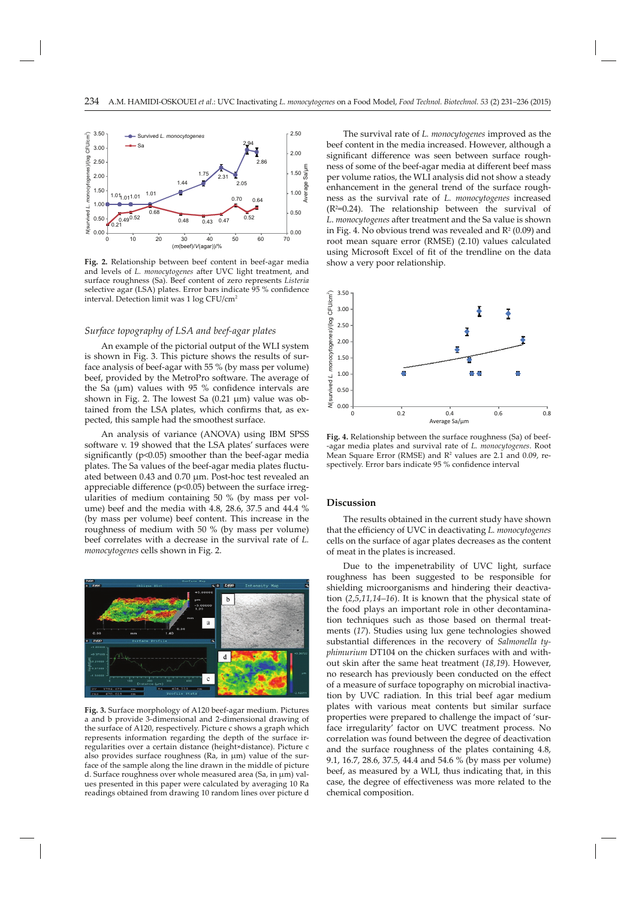

**Fig. 2.** Relationship between beef content in beef-agar media and levels of *L. monocytogenes* after UVC light treatment, and surface roughness (Sa). Beef content of zero represents *Listeria*  selective agar (LSA) plates. Error bars indicate 95 % confidence interval. Detection limit was 1 log CFU/cm2

# *Surface topography of LSA and beef-agar plates*

An example of the pictorial output of the WLI system is shown in Fig. 3. This picture shows the results of surface analysis of beef-agar with 55 % (by mass per volume) beef, provided by the MetroPro software. The average of the Sa (μm) values with 95 % confidence intervals are shown in Fig. 2. The lowest Sa (0.21 μm) value was obtained from the LSA plates, which confirms that, as expected, this sample had the smoothest surface.

An analysis of variance (ANOVA) using IBM SPSS software v. 19 showed that the LSA plates' surfaces were significantly ( $p$ <0.05) smoother than the beef-agar media plates. The Sa values of the beef-agar media plates fluctuated between 0.43 and 0.70 μm. Post-hoc test revealed an appreciable difference ( $p<0.05$ ) between the surface irregularities of medium containing 50 % (by mass per volume) beef and the media with 4.8, 28.6, 37.5 and 44.4 % (by mass per volume) beef content. This increase in the roughness of medium with 50 % (by mass per volume) beef correlates with a decrease in the survival rate of *L. monocytogenes* cells shown in Fig. 2.



**Fig. 3.** Surface morphology of A120 beef-agar medium. Pictures a and b provide 3-dimensional and 2-dimensional drawing of the surface of A120, respectively. Picture c shows a graph which represents information regarding the depth of the surface irregularities over a certain distance (height×distance). Picture c also provides surface roughness (Ra, in μm) value of the surface of the sample along the line drawn in the middle of picture d. Surface roughness over whole measured area (Sa, in μm) values presented in this paper were calculated by averaging 10 Ra readings obtained from drawing 10 random lines over picture d

The survival rate of *L. monocytogenes* improved as the beef content in the media increased. However, although a significant difference was seen between surface roughness of some of the beef-agar media at different beef mass per volume ratios, the WLI analysis did not show a steady enhancement in the general trend of the surface roughness as the survival rate of *L. monocytogenes* increased (R2 =0.24). The relationship between the survival of L. *monocytogenes* after treatment and the Sa value is shown in Fig. 4. No obvious trend was revealed and  $\mathsf{R}^2\left(0.09\right)$  and root mean square error (RMSE) (2.10) values calculated using Microsoft Excel of fit of the trendline on the data show a very poor relationship.



**Fig. 4.** Relationship between the surface roughness (Sa) of beef- -agar media plates and survival rate of *L. monocytogenes*. Root Mean Square Error (RMSE) and  $\mathsf{R}^2$  values are 2.1 and 0.09, respectively. Error bars indicate 95 % confidence interval

# **Discussion**

The results obtained in the current study have shown that the efficiency of UVC in deactivating *L. monocytogenes* cells on the surface of agar plates decreases as the content of meat in the plates is increased.

Due to the impenetrability of UVC light, surface roughness has been suggested to be responsible for shielding microorganisms and hindering their deactivation (*2*,*5*,*11,14–16*). It is known that the physical state of the food plays an important role in other decontamination techniques such as those based on thermal treatments (*17*). Studies using lux gene technologies showed substantial differences in the recovery of *Salmonella typhimurium* DT104 on the chicken surfaces with and without skin after the same heat treatment (18,19). However, no research has previously been conducted on the effect of a measure of surface topography on microbial inactivation by UVC radiation. In this trial beef agar medium plates with various meat contents but similar surface properties were prepared to challenge the impact of 'surface irregularity' factor on UVC treatment process. No correlation was found between the degree of deactivation and the surface roughness of the plates containing 4.8, 9.1, 16.7, 28.6, 37.5, 44.4 and 54.6 % (by mass per volume) beef, as measured by a WLI, thus indicating that, in this case, the degree of effectiveness was more related to the chemical composition.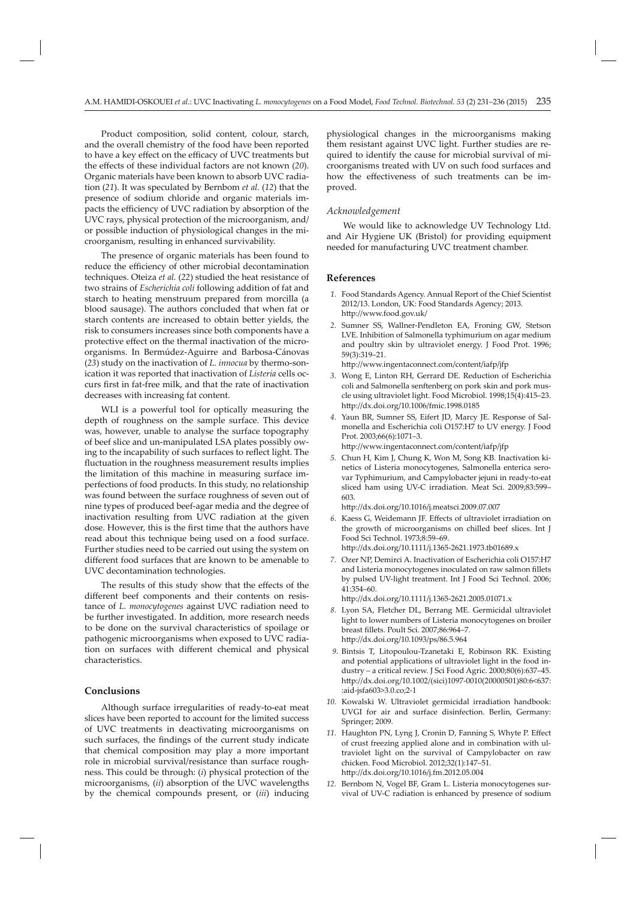Product composition, solid content, colour, starch, and the overall chemistry of the food have been reported to have a key effect on the efficacy of UVC treatments but the effects of these individual factors are not known (20). Organic materials have been known to absorb UVC radiation (*21*). It was speculated by Bernbom *et al.* (*12*) that the presence of sodium chloride and organic materials impacts the efficiency of UVC radiation by absorption of the UVC rays, physical protection of the microorganism, and/ or possible induction of physiological changes in the microorganism, resulting in enhanced survivability.

The presence of organic materials has been found to reduce the efficiency of other microbial decontamination techniques. Oteiza *et al.* (*22*) studied the heat resistance of two strains of *Escherichia coli* following addition of fat and starch to heating menstruum prepared from morcilla (a blood sausage). The authors concluded that when fat or starch contents are increased to obtain better yields, the risk to consumers increases since both components have a protective effect on the thermal inactivation of the microorganisms. In Bermúdez-Aguirre and Barbosa-Cánovas (*23*) study on the inactivation of *L. innocua* by thermo-sonication it was reported that inactivation of *Listeria* cells occurs first in fat-free milk, and that the rate of inactivation decreases with increasing fat content.

WLI is a powerful tool for optically measuring the depth of roughness on the sample surface. This device was, however, unable to analyse the surface topography of beef slice and un-manipulated LSA plates possibly owing to the incapability of such surfaces to reflect light. The fluctuation in the roughness measurement results implies the limitation of this machine in measuring surface imperfections of food products. In this study, no relationship was found between the surface roughness of seven out of nine types of produced beef-agar media and the degree of inactivation resulting from UVC radiation at the given dose. However, this is the first time that the authors have read about this technique being used on a food surface. Further studies need to be carried out using the system on different food surfaces that are known to be amenable to UVC decontamination technologies.

The results of this study show that the effects of the different beef components and their contents on resistance of *L. monocytogenes* against UVC radiation need to be further investigated. In addition, more research needs to be done on the survival characteristics of spoilage or pathogenic microorganisms when exposed to UVC radiation on surfaces with different chemical and physical characteristics.

# **Conclusions**

Although surface irregularities of ready-to-eat meat slices have been reported to account for the limited success of UVC treatments in deactivating microorganisms on such surfaces, the findings of the current study indicate that chemical composition may play a more important role in microbial survival/resistance than surface roughness. This could be through: (*i*) physical protection of the microorganisms, (*ii*) absorption of the UVC wavelengths by the chemical compounds present, or (*iii*) inducing

physiological changes in the microorganisms making them resistant against UVC light. Further studies are required to identify the cause for microbial survival of microorganisms treated with UV on such food surfaces and how the effectiveness of such treatments can be improved.

#### *Acknowledgement*

We would like to acknowledge UV Technology Ltd. and Air Hygiene UK (Bristol) for providing equipment needed for manufacturing UVC treatment chamber.

#### **References**

- *1.* Food Standards Agency. Annual Report of the Chief Scientist 2012/13. London, UK: Food Standards Agency; 2013. http://www.food.gov.uk/
- *2.* Sumner SS, Wallner-Pendleton EA, Froning GW, Stetson LVE. Inhibition of Salmonella typhimurium on agar medium and poultry skin by ultraviolet energy. J Food Prot. 1996; 59(3):319–21.

http://www.ingentaconnect.com/content/iafp/jfp

- *3.* Wong E, Linton RH, Gerrard DE. Reduction of Escherichia coli and Salmonella senftenberg on pork skin and pork muscle using ultraviolet light. Food Microbiol. 1998;15(4):415–23. http://dx.doi.org/10.1006/fmic.1998.0185
- *4.* Yaun BR, Sumner SS, Eifert JD, Marcy JE. Response of Salmonella and Escherichia coli O157:H7 to UV energy. J Food Prot. 2003;66(6):1071–3. http://www.ingentaconnect.com/content/iafp/jfp
- *5.* Chun H, Kim J, Chung K, Won M, Song KB. Inactivation kinetics of Listeria monocytogenes, Salmonella enterica serovar Typhimurium, and Campylobacter jejuni in ready-to-eat sliced ham using UV-C irradiation. Meat Sci. 2009;83:599– 603.

http://dx.doi.org/10.1016/j.meatsci.2009.07.007

- 6. Kaess G, Weidemann JF. Effects of ultraviolet irradiation on the growth of microorganisms on chilled beef slices. Int J Food Sci Technol. 1973;8:59–69. http://dx.doi.org/10.1111/j.1365-2621.1973.tb01689.x
- *7.* Ozer NP, Demirci A. Inactivation of Escherichia coli O157:H7 and Listeria monocytogenes inoculated on raw salmon fillets by pulsed UV-light treatment. Int J Food Sci Technol. 2006; 41:354–60.

http://dx.doi.org/10.1111/j.1365-2621.2005.01071.x

- *8.* Lyon SA, Fletcher DL, Berrang ME. Germicidal ultraviolet light to lower numbers of Listeria monocytogenes on broiler breast fillets. Poult Sci. 2007;86:964-7. http://dx.doi.org/10.1093/ps/86.5.964
- *9.* Bintsis T, Litopoulou-Tzanetaki E, Robinson RK. Existing and potential applications of ultraviolet light in the food industry – a critical review. J Sci Food Agric. 2000;80(6):637–45. http://dx.doi.org/10.1002/(sici)1097-0010(20000501)80:6<637: :aid-jsfa603>3.0.co;2-1
- *10.* Kowalski W. Ultraviolet germicidal irradiation handbook: UVGI for air and surface disinfection. Berlin, Germany: Springer; 2009.
- 11. Haughton PN, Lyng J, Cronin D, Fanning S, Whyte P. Effect of crust freezing applied alone and in combination with ultraviolet light on the survival of Campylobacter on raw chicken. Food Microbiol. 2012;32(1):147–51. http://dx.doi.org/10.1016/j.fm.2012.05.004
- *12.* Bernbom N, Vogel BF, Gram L. Listeria monocytogenes survival of UV-C radiation is enhanced by presence of sodium